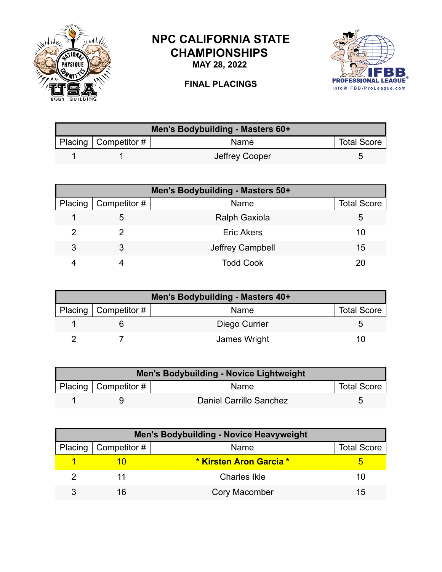

## **NPC CALIFORNIA STATE CHAMPIONSHIPS**

**MAY 28, 2022**



## **FINAL PLACINGS**

| Men's Bodybuilding - Masters 60+ |                        |                |                    |  |
|----------------------------------|------------------------|----------------|--------------------|--|
|                                  | Placing   Competitor # | Name           | <b>Total Score</b> |  |
|                                  |                        | Jeffrey Cooper |                    |  |

| Men's Bodybuilding - Masters 50+ |                        |                      |                    |  |
|----------------------------------|------------------------|----------------------|--------------------|--|
|                                  | Placing   Competitor # | Name                 | <b>Total Score</b> |  |
|                                  |                        | <b>Ralph Gaxiola</b> | 5                  |  |
|                                  |                        | <b>Eric Akers</b>    | 10                 |  |
| 3                                |                        | Jeffrey Campbell     | 15                 |  |
|                                  |                        | <b>Todd Cook</b>     |                    |  |

| Men's Bodybuilding - Masters 40+ |                        |               |                    |
|----------------------------------|------------------------|---------------|--------------------|
|                                  | Placing   Competitor # | Name          | <b>Total Score</b> |
|                                  |                        | Diego Currier |                    |
|                                  |                        | James Wright  |                    |

| <b>Men's Bodybuilding - Novice Lightweight</b> |                        |                         |                    |  |
|------------------------------------------------|------------------------|-------------------------|--------------------|--|
|                                                | Placing   Competitor # | <b>Name</b>             | <b>Total Score</b> |  |
|                                                |                        | Daniel Carrillo Sanchez |                    |  |

| <b>Men's Bodybuilding - Novice Heavyweight</b> |                              |                         |                    |  |
|------------------------------------------------|------------------------------|-------------------------|--------------------|--|
|                                                | Placing $\vert$ Competitor # | Name                    | <b>Total Score</b> |  |
|                                                |                              | * Kirsten Aron Garcia * |                    |  |
|                                                |                              | <b>Charles Ikle</b>     | 10                 |  |
|                                                | 16                           | <b>Cory Macomber</b>    | 15                 |  |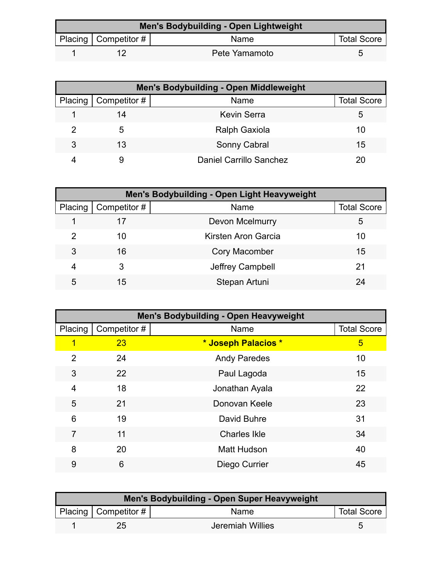| Men's Bodybuilding - Open Lightweight |                          |               |                    |  |
|---------------------------------------|--------------------------|---------------|--------------------|--|
|                                       | Placing   Competitor $#$ | Name          | <b>Total Score</b> |  |
|                                       |                          | Pete Yamamoto |                    |  |

| <b>Men's Bodybuilding - Open Middleweight</b> |              |                                |                    |  |
|-----------------------------------------------|--------------|--------------------------------|--------------------|--|
| Placing                                       | Competitor # | Name                           | <b>Total Score</b> |  |
|                                               | 14           | <b>Kevin Serra</b>             | 5                  |  |
| 2                                             | 5            | <b>Ralph Gaxiola</b>           | 10                 |  |
| 3                                             | 13           | Sonny Cabral                   | 15                 |  |
|                                               |              | <b>Daniel Carrillo Sanchez</b> |                    |  |

| Men's Bodybuilding - Open Light Heavyweight |              |                        |                    |  |
|---------------------------------------------|--------------|------------------------|--------------------|--|
| Placing                                     | Competitor # | Name                   | <b>Total Score</b> |  |
|                                             | 17           | <b>Devon Mcelmurry</b> | 5                  |  |
| 2                                           | 10           | Kirsten Aron Garcia    | 10                 |  |
| 3                                           | 16           | <b>Cory Macomber</b>   | 15                 |  |
| 4                                           |              | Jeffrey Campbell       | 21                 |  |
| 5                                           | 15           | Stepan Artuni          | 24                 |  |

| <b>Men's Bodybuilding - Open Heavyweight</b> |              |                     |                    |  |
|----------------------------------------------|--------------|---------------------|--------------------|--|
| Placing                                      | Competitor # | Name                | <b>Total Score</b> |  |
| 1                                            | 23           | * Joseph Palacios * | 5                  |  |
| $\overline{2}$                               | 24           | <b>Andy Paredes</b> | 10                 |  |
| 3                                            | 22           | Paul Lagoda         | 15                 |  |
| 4                                            | 18           | Jonathan Ayala      | 22                 |  |
| 5                                            | 21           | Donovan Keele       | 23                 |  |
| 6                                            | 19           | David Buhre         | 31                 |  |
| 7                                            | 11           | <b>Charles Ikle</b> | 34                 |  |
| 8                                            | 20           | <b>Matt Hudson</b>  | 40                 |  |
| 9                                            | 6            | Diego Currier       | 45                 |  |

| Men's Bodybuilding - Open Super Heavyweight |                        |                  |                    |  |
|---------------------------------------------|------------------------|------------------|--------------------|--|
|                                             | Placing   Competitor # | Name             | <b>Total Score</b> |  |
|                                             | 25                     | Jeremiah Willies |                    |  |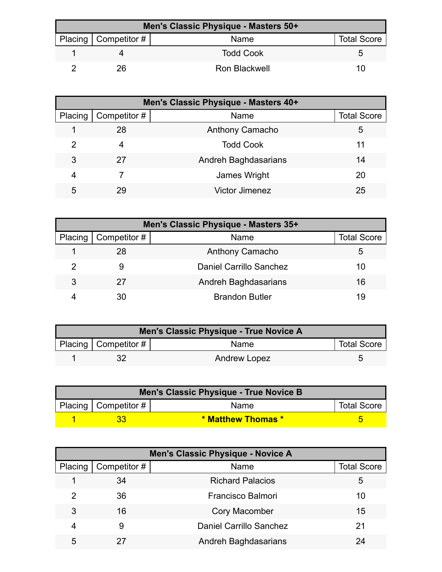| Men's Classic Physique - Masters 50+ |                        |                  |                    |  |
|--------------------------------------|------------------------|------------------|--------------------|--|
|                                      | Placing   Competitor # | Name             | <b>Total Score</b> |  |
|                                      |                        | <b>Todd Cook</b> |                    |  |
|                                      | 26                     | Ron Blackwell    | 11                 |  |

| Men's Classic Physique - Masters 40+ |              |                        |                    |  |
|--------------------------------------|--------------|------------------------|--------------------|--|
| Placing                              | Competitor # | Name                   | <b>Total Score</b> |  |
|                                      | 28           | <b>Anthony Camacho</b> | 5                  |  |
| 2                                    | 4            | <b>Todd Cook</b>       | 11                 |  |
| 3                                    | 27           | Andreh Baghdasarians   | 14                 |  |
| 4                                    |              | James Wright           | 20                 |  |
| 5                                    | 29           | <b>Victor Jimenez</b>  | 25                 |  |

| Men's Classic Physique - Masters 35+ |              |                                |                    |  |
|--------------------------------------|--------------|--------------------------------|--------------------|--|
| Placing                              | Competitor # | Name                           | <b>Total Score</b> |  |
|                                      | 28           | Anthony Camacho                | 5                  |  |
|                                      |              | <b>Daniel Carrillo Sanchez</b> | 10                 |  |
| 3                                    | 27           | Andreh Baghdasarians           | 16                 |  |
|                                      | 30           | <b>Brandon Butler</b>          | 19                 |  |

| Men's Classic Physique - True Novice A |                        |              |                    |  |
|----------------------------------------|------------------------|--------------|--------------------|--|
|                                        | Placing   Competitor # | Name         | <b>Total Score</b> |  |
|                                        |                        | Andrew Lopez |                    |  |

| Men's Classic Physique - True Novice B |                           |                    |                    |  |
|----------------------------------------|---------------------------|--------------------|--------------------|--|
|                                        | Placing   Competitor $\#$ | Name               | <b>Total Score</b> |  |
|                                        |                           | * Matthew Thomas * |                    |  |

| <b>Men's Classic Physique - Novice A</b> |              |                                |                    |
|------------------------------------------|--------------|--------------------------------|--------------------|
| Placing                                  | Competitor # | Name                           | <b>Total Score</b> |
|                                          | 34           | <b>Richard Palacios</b>        | 5                  |
| 2                                        | 36           | Francisco Balmori              | 10                 |
| 3                                        | 16           | <b>Cory Macomber</b>           | 15                 |
| 4                                        | 9            | <b>Daniel Carrillo Sanchez</b> | 21                 |
| 5                                        |              | Andreh Baghdasarians           | 24                 |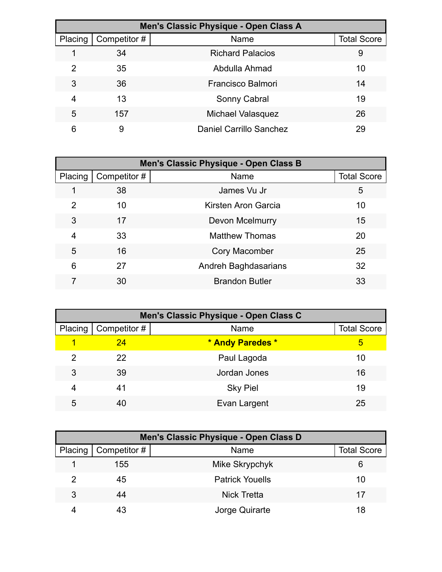| Men's Classic Physique - Open Class A |              |                                |                    |  |
|---------------------------------------|--------------|--------------------------------|--------------------|--|
| Placing                               | Competitor # | Name                           | <b>Total Score</b> |  |
|                                       | 34           | <b>Richard Palacios</b>        | 9                  |  |
| 2                                     | 35           | Abdulla Ahmad                  | 10                 |  |
| 3                                     | 36           | Francisco Balmori              | 14                 |  |
| 4                                     | 13           | Sonny Cabral                   | 19                 |  |
| 5                                     | 157          | <b>Michael Valasquez</b>       | 26                 |  |
| 6                                     | 9            | <b>Daniel Carrillo Sanchez</b> | 29                 |  |

| Men's Classic Physique - Open Class B |             |                       |                    |  |
|---------------------------------------|-------------|-----------------------|--------------------|--|
| Placing                               | Competitor# | Name                  | <b>Total Score</b> |  |
|                                       | 38          | James Vu Jr           | 5                  |  |
| $\overline{2}$                        | 10          | Kirsten Aron Garcia   | 10                 |  |
| 3                                     | 17          | Devon Mcelmurry       | 15                 |  |
| 4                                     | 33          | <b>Matthew Thomas</b> | 20                 |  |
| 5                                     | 16          | <b>Cory Macomber</b>  | 25                 |  |
| 6                                     | 27          | Andreh Baghdasarians  | 32                 |  |
|                                       | 30          | <b>Brandon Butler</b> | 33                 |  |

| Men's Classic Physique - Open Class C |                     |                  |                    |  |
|---------------------------------------|---------------------|------------------|--------------------|--|
| Placing                               | $\mid$ Competitor # | Name             | <b>Total Score</b> |  |
|                                       | -24                 | * Andy Paredes * | 5                  |  |
| 2                                     | 22                  | Paul Lagoda      | 10                 |  |
| 3                                     | 39                  | Jordan Jones     | 16                 |  |
| 4                                     | 41                  | <b>Sky Piel</b>  | 19                 |  |
| 5                                     | 40                  | Evan Largent     | 25                 |  |

|   | Men's Classic Physique - Open Class D |                        |                    |  |  |
|---|---------------------------------------|------------------------|--------------------|--|--|
|   | Placing   Competitor #                | Name                   | <b>Total Score</b> |  |  |
|   | 155                                   | Mike Skrypchyk         | 6                  |  |  |
| 2 | 45                                    | <b>Patrick Youells</b> | 10                 |  |  |
| 3 | 44                                    | <b>Nick Tretta</b>     | 17                 |  |  |
|   |                                       | Jorge Quirarte         | 18                 |  |  |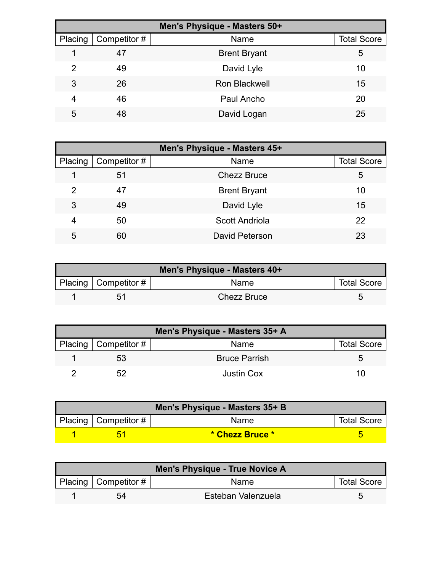| Men's Physique - Masters 50+ |              |                      |                    |  |
|------------------------------|--------------|----------------------|--------------------|--|
| Placing                      | Competitor # | Name                 | <b>Total Score</b> |  |
|                              | 47           | <b>Brent Bryant</b>  | 5                  |  |
| $\mathcal{P}$                | 49           | David Lyle           | 10                 |  |
| 3                            | 26           | <b>Ron Blackwell</b> | 15                 |  |
| 4                            | 46           | Paul Ancho           | 20                 |  |
| 5                            | 48           | David Logan          | 25                 |  |

| Men's Physique - Masters 45+ |              |                       |                    |  |
|------------------------------|--------------|-----------------------|--------------------|--|
| Placing                      | Competitor # | Name                  | <b>Total Score</b> |  |
|                              | 51           | <b>Chezz Bruce</b>    | 5                  |  |
| 2                            | 47           | <b>Brent Bryant</b>   | 10                 |  |
| 3                            | 49           | David Lyle            | 15                 |  |
| 4                            | 50           | <b>Scott Andriola</b> | 22                 |  |
| 5                            | 60           | David Peterson        | 23                 |  |

| Men's Physique - Masters 40+ |                           |                    |                    |
|------------------------------|---------------------------|--------------------|--------------------|
|                              | Placing   Competitor $\#$ | Name               | <b>Total Score</b> |
|                              | 51                        | <b>Chezz Bruce</b> |                    |

| Men's Physique - Masters 35+ A |                        |                      |                    |  |
|--------------------------------|------------------------|----------------------|--------------------|--|
|                                | Placing   Competitor # | Name                 | <b>Total Score</b> |  |
|                                | 53                     | <b>Bruce Parrish</b> |                    |  |
|                                | 52                     | <b>Justin Cox</b>    |                    |  |

| Men's Physique - Masters 35+ B |                           |                 |                    |  |
|--------------------------------|---------------------------|-----------------|--------------------|--|
|                                | Placing   Competitor $\#$ | <b>Name</b>     | <b>Total Score</b> |  |
|                                |                           | * Chezz Bruce * |                    |  |

| Men's Physique - True Novice A |                          |                    |                    |  |
|--------------------------------|--------------------------|--------------------|--------------------|--|
|                                | Placing   Competitor $#$ | <b>Name</b>        | <b>Total Score</b> |  |
|                                | 54                       | Esteban Valenzuela |                    |  |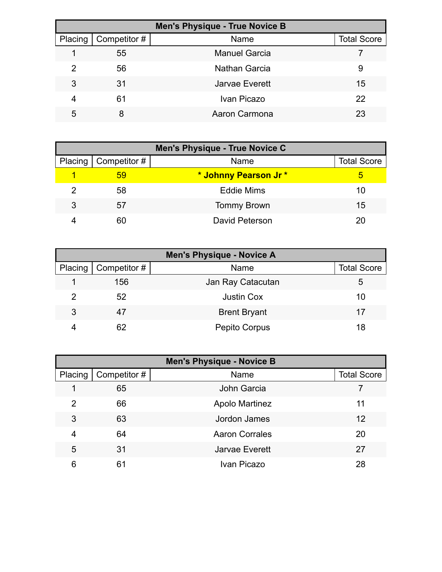|         | <b>Men's Physique - True Novice B</b> |                      |                    |  |  |
|---------|---------------------------------------|----------------------|--------------------|--|--|
| Placing | Competitor #                          | Name                 | <b>Total Score</b> |  |  |
|         | 55                                    | <b>Manuel Garcia</b> |                    |  |  |
| 2       | 56                                    | <b>Nathan Garcia</b> | 9                  |  |  |
| 3       | 31                                    | Jarvae Everett       | 15                 |  |  |
| 4       | 61                                    | Ivan Picazo          | 22                 |  |  |
| 5       | 8                                     | Aaron Carmona        | 23                 |  |  |

| <b>Men's Physique - True Novice C</b> |                              |                      |                    |  |
|---------------------------------------|------------------------------|----------------------|--------------------|--|
|                                       | Placing $\vert$ Competitor # | Name                 | <b>Total Score</b> |  |
|                                       | 59                           | * Johnny Pearson Jr* | 5                  |  |
| 2                                     | 58                           | <b>Eddie Mims</b>    | 10                 |  |
| 3                                     | 57                           | <b>Tommy Brown</b>   | 15                 |  |
|                                       | 60                           | David Peterson       | 20                 |  |

| <b>Men's Physique - Novice A</b> |              |                     |                    |  |
|----------------------------------|--------------|---------------------|--------------------|--|
| Placing                          | Competitor # | Name                | <b>Total Score</b> |  |
|                                  | 156          | Jan Ray Catacutan   | 5                  |  |
| 2                                | 52           | <b>Justin Cox</b>   | 10                 |  |
| 3                                | 47           | <b>Brent Bryant</b> | 17                 |  |
|                                  | 62           | Pepito Corpus       | 18                 |  |

| <b>Men's Physique - Novice B</b> |              |                       |                    |
|----------------------------------|--------------|-----------------------|--------------------|
| Placing                          | Competitor # | Name                  | <b>Total Score</b> |
|                                  | 65           | <b>John Garcia</b>    |                    |
| $\overline{2}$                   | 66           | <b>Apolo Martinez</b> | 11                 |
| 3                                | 63           | Jordon James          | 12                 |
| 4                                | 64           | <b>Aaron Corrales</b> | 20                 |
| 5                                | 31           | <b>Jarvae Everett</b> | 27                 |
| 6                                | 61           | Ivan Picazo           | 28                 |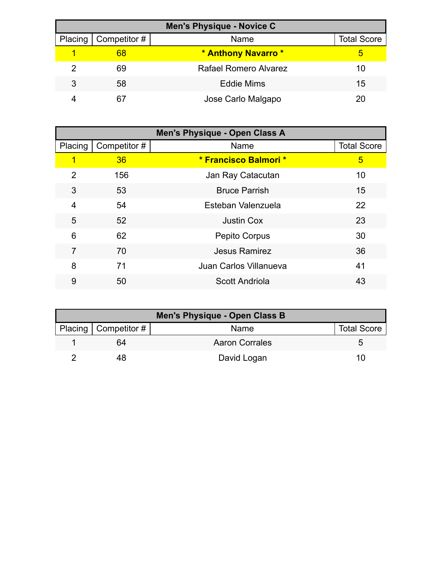| <b>Men's Physique - Novice C</b> |              |                              |                    |  |
|----------------------------------|--------------|------------------------------|--------------------|--|
| Placing                          | Competitor # | Name                         | <b>Total Score</b> |  |
|                                  | 68           | * Anthony Navarro *          | h                  |  |
| 2                                | 69           | <b>Rafael Romero Alvarez</b> | 10                 |  |
| 3                                | 58           | <b>Eddie Mims</b>            | 15                 |  |
|                                  | 67           | Jose Carlo Malgapo           |                    |  |

| <b>Men's Physique - Open Class A</b> |             |                        |                    |
|--------------------------------------|-------------|------------------------|--------------------|
| Placing                              | Competitor# | Name                   | <b>Total Score</b> |
| 1                                    | 36          | * Francisco Balmori *  | 5                  |
| 2                                    | 156         | Jan Ray Catacutan      | 10                 |
| 3                                    | 53          | <b>Bruce Parrish</b>   | 15                 |
| $\overline{4}$                       | 54          | Esteban Valenzuela     | 22                 |
| 5                                    | 52          | <b>Justin Cox</b>      | 23                 |
| 6                                    | 62          | <b>Pepito Corpus</b>   | 30                 |
| $\overline{7}$                       | 70          | Jesus Ramirez          | 36                 |
| 8                                    | 71          | Juan Carlos Villanueva | 41                 |
| 9                                    | 50          | Scott Andriola         | 43                 |

| Men's Physique - Open Class B |                       |                    |  |  |
|-------------------------------|-----------------------|--------------------|--|--|
| Placing   Competitor #        | Name                  | <b>Total Score</b> |  |  |
| 64                            | <b>Aaron Corrales</b> | h                  |  |  |
|                               | David Logan           | 10                 |  |  |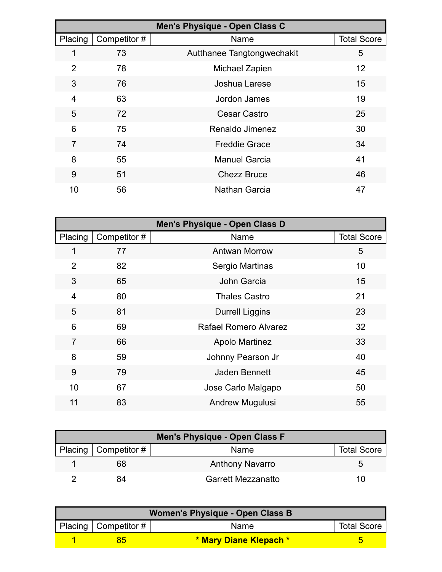|                | Men's Physique - Open Class C |                            |                    |  |
|----------------|-------------------------------|----------------------------|--------------------|--|
| Placing        | Competitor#                   | Name                       | <b>Total Score</b> |  |
|                | 73                            | Autthanee Tangtongwechakit | 5                  |  |
| $\overline{2}$ | 78                            | Michael Zapien             | 12                 |  |
| 3              | 76                            | Joshua Larese              | 15                 |  |
| 4              | 63                            | Jordon James               | 19                 |  |
| 5              | 72                            | Cesar Castro               | 25                 |  |
| 6              | 75                            | Renaldo Jimenez            | 30                 |  |
| $\overline{7}$ | 74                            | <b>Freddie Grace</b>       | 34                 |  |
| 8              | 55                            | <b>Manuel Garcia</b>       | 41                 |  |
| 9              | 51                            | <b>Chezz Bruce</b>         | 46                 |  |
| 10             | 56                            | Nathan Garcia              | 47                 |  |

| Men's Physique - Open Class D |              |                              |                    |
|-------------------------------|--------------|------------------------------|--------------------|
| Placing                       | Competitor # | Name                         | <b>Total Score</b> |
| $\mathbf 1$                   | 77           | <b>Antwan Morrow</b>         | 5                  |
| $\overline{2}$                | 82           | Sergio Martinas              | 10                 |
| 3                             | 65           | John Garcia                  | 15                 |
| $\overline{4}$                | 80           | <b>Thales Castro</b>         | 21                 |
| 5                             | 81           | <b>Durrell Liggins</b>       | 23                 |
| 6                             | 69           | <b>Rafael Romero Alvarez</b> | 32                 |
| $\overline{7}$                | 66           | <b>Apolo Martinez</b>        | 33                 |
| 8                             | 59           | Johnny Pearson Jr            | 40                 |
| 9                             | 79           | <b>Jaden Bennett</b>         | 45                 |
| 10                            | 67           | Jose Carlo Malgapo           | 50                 |
| 11                            | 83           | Andrew Mugulusi              | 55                 |

| <b>Men's Physique - Open Class F</b> |                           |                    |  |  |
|--------------------------------------|---------------------------|--------------------|--|--|
| Placing   Competitor #               | Name                      | <b>Total Score</b> |  |  |
| 68                                   | <b>Anthony Navarro</b>    |                    |  |  |
| 84                                   | <b>Garrett Mezzanatto</b> | 111                |  |  |

| Women's Physique - Open Class B |                        |                        |                    |  |
|---------------------------------|------------------------|------------------------|--------------------|--|
|                                 | Placing   Competitor # | <b>Name</b>            | <b>Total Score</b> |  |
|                                 |                        | * Mary Diane Klepach * |                    |  |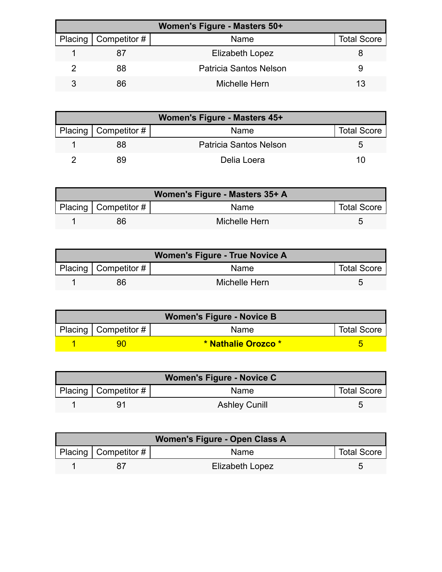| Women's Figure - Masters 50+ |                        |                        |                    |  |
|------------------------------|------------------------|------------------------|--------------------|--|
|                              | Placing   Competitor # | Name                   | <b>Total Score</b> |  |
|                              |                        | Elizabeth Lopez        |                    |  |
|                              | 88                     | Patricia Santos Nelson |                    |  |
|                              | 86                     | Michelle Hern          | 13                 |  |

| Women's Figure - Masters 45+ |                        |                        |                    |
|------------------------------|------------------------|------------------------|--------------------|
|                              | Placing   Competitor # | Name                   | <b>Total Score</b> |
|                              | 88                     | Patricia Santos Nelson |                    |
|                              | 89                     | Delia Loera            | 10                 |

| Women's Figure - Masters 35+ A |                           |               |                    |
|--------------------------------|---------------------------|---------------|--------------------|
|                                | Placing   Competitor $\#$ | <b>Name</b>   | <b>Total Score</b> |
|                                | 86                        | Michelle Hern |                    |

| <b>Women's Figure - True Novice A</b> |                        |               |                    |
|---------------------------------------|------------------------|---------------|--------------------|
|                                       | Placing   Competitor # | <b>Name</b>   | <b>Total Score</b> |
|                                       | 86                     | Michelle Hern |                    |

| <b>Women's Figure - Novice B</b> |                          |                     |                    |  |
|----------------------------------|--------------------------|---------------------|--------------------|--|
|                                  | Placing   Competitor $#$ | <b>Name</b>         | <b>Total Score</b> |  |
|                                  |                          | * Nathalie Orozco * |                    |  |

| <b>Women's Figure - Novice C</b> |                          |                      |                    |  |
|----------------------------------|--------------------------|----------------------|--------------------|--|
|                                  | Placing   Competitor $#$ | <b>Name</b>          | <b>Total Score</b> |  |
|                                  |                          | <b>Ashley Cunill</b> |                    |  |

| Women's Figure - Open Class A |                           |                        |                    |  |
|-------------------------------|---------------------------|------------------------|--------------------|--|
|                               | Placing   Competitor $\#$ | Name                   | <b>Total Score</b> |  |
|                               |                           | <b>Elizabeth Lopez</b> |                    |  |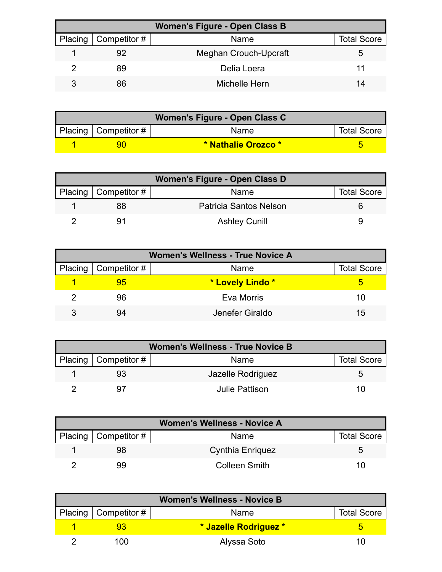| <b>Women's Figure - Open Class B</b> |                       |                    |  |  |
|--------------------------------------|-----------------------|--------------------|--|--|
| Placing   Competitor #               | Name                  | <b>Total Score</b> |  |  |
| 92                                   | Meghan Crouch-Upcraft |                    |  |  |
| 89                                   | Delia Loera           |                    |  |  |
| 86                                   | Michelle Hern         | 14                 |  |  |

| Women's Figure - Open Class C |                     |                    |  |  |
|-------------------------------|---------------------|--------------------|--|--|
| Placing   Competitor $\#$     | Name                | <b>Total Score</b> |  |  |
|                               | * Nathalie Orozco * |                    |  |  |

| Women's Figure - Open Class D |                        |                    |  |  |
|-------------------------------|------------------------|--------------------|--|--|
| Placing   Competitor #        | Name                   | <b>Total Score</b> |  |  |
| 88                            | Patricia Santos Nelson |                    |  |  |
|                               | <b>Ashley Cunill</b>   |                    |  |  |

| <b>Women's Wellness - True Novice A</b> |                              |                  |                    |
|-----------------------------------------|------------------------------|------------------|--------------------|
|                                         | Placing $\vert$ Competitor # | Name             | <b>Total Score</b> |
|                                         | 95                           | * Lovely Lindo * |                    |
|                                         | 96                           | Eva Morris       | 10                 |
| З                                       | 94                           | Jenefer Giraldo  | $15^{\circ}$       |

| <b>Women's Wellness - True Novice B</b> |                          |                   |                    |  |
|-----------------------------------------|--------------------------|-------------------|--------------------|--|
|                                         | Placing   Competitor $#$ | Name              | <b>Total Score</b> |  |
|                                         | 93                       | Jazelle Rodriguez | h                  |  |
|                                         |                          | Julie Pattison    | 10                 |  |

| <b>Women's Wellness - Novice A</b> |                        |                         |                    |  |
|------------------------------------|------------------------|-------------------------|--------------------|--|
|                                    | Placing   Competitor # | Name                    | <b>Total Score</b> |  |
|                                    | 98                     | <b>Cynthia Enriquez</b> | ∽                  |  |
|                                    | 99                     | <b>Colleen Smith</b>    | 10                 |  |

| <b>Women's Wellness - Novice B</b> |                        |                       |                    |  |
|------------------------------------|------------------------|-----------------------|--------------------|--|
|                                    | Placing   Competitor # | Name                  | <b>Total Score</b> |  |
|                                    |                        | * Jazelle Rodriguez * |                    |  |
|                                    | 100                    | Alyssa Soto           | 1 I I              |  |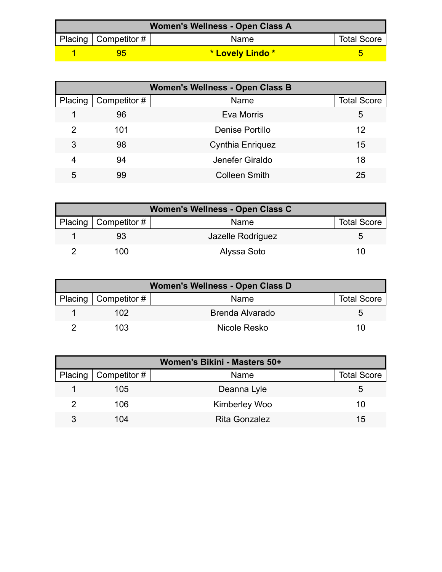| Women's Wellness - Open Class A |                           |                  |                    |  |
|---------------------------------|---------------------------|------------------|--------------------|--|
|                                 | Placing   Competitor $\#$ | <b>Name</b>      | <b>Total Score</b> |  |
|                                 |                           | * Lovely Lindo * |                    |  |

| <b>Women's Wellness - Open Class B</b> |              |                         |                    |  |
|----------------------------------------|--------------|-------------------------|--------------------|--|
| Placing                                | Competitor # | Name                    | <b>Total Score</b> |  |
|                                        | 96           | Eva Morris              | 5                  |  |
| 2                                      | 101          | Denise Portillo         | 12                 |  |
| 3                                      | 98           | <b>Cynthia Enriquez</b> | 15                 |  |
| 4                                      | 94           | Jenefer Giraldo         | 18                 |  |
| 5                                      | 99           | <b>Colleen Smith</b>    | 25                 |  |

| Women's Wellness - Open Class C |                        |                   |                    |  |
|---------------------------------|------------------------|-------------------|--------------------|--|
|                                 | Placing   Competitor # | Name              | <b>Total Score</b> |  |
|                                 |                        | Jazelle Rodriguez |                    |  |
|                                 | 100                    | Alyssa Soto       |                    |  |

| Women's Wellness - Open Class D |                        |                 |                    |  |
|---------------------------------|------------------------|-----------------|--------------------|--|
|                                 | Placing   Competitor # | Name            | <b>Total Score</b> |  |
|                                 | 102.                   | Brenda Alvarado | ∽                  |  |
|                                 | 103                    | Nicole Resko    | 10                 |  |

| Women's Bikini - Masters 50+ |                        |                      |                    |  |
|------------------------------|------------------------|----------------------|--------------------|--|
|                              | Placing   Competitor # | Name                 | <b>Total Score</b> |  |
|                              | 105                    | Deanna Lyle          |                    |  |
|                              | 106                    | <b>Kimberley Woo</b> | 10                 |  |
| 3                            | 104                    | <b>Rita Gonzalez</b> | 15                 |  |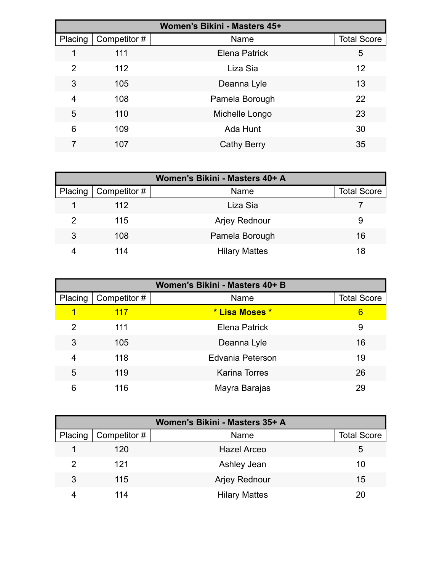| Women's Bikini - Masters 45+ |              |                      |                    |  |
|------------------------------|--------------|----------------------|--------------------|--|
| Placing                      | Competitor # | Name                 | <b>Total Score</b> |  |
|                              | 111          | <b>Elena Patrick</b> | 5                  |  |
| 2                            | 112          | Liza Sia             | 12                 |  |
| 3                            | 105          | Deanna Lyle          | 13                 |  |
| 4                            | 108          | Pamela Borough       | 22                 |  |
| 5                            | 110          | Michelle Longo       | 23                 |  |
| 6                            | 109          | Ada Hunt             | 30                 |  |
|                              | 107          | Cathy Berry          | 35                 |  |

| Women's Bikini - Masters 40+ A |              |                      |                    |  |
|--------------------------------|--------------|----------------------|--------------------|--|
| Placing                        | Competitor # | Name                 | <b>Total Score</b> |  |
|                                | 112          | Liza Sia             |                    |  |
| 2                              | 115          | <b>Arjey Rednour</b> | 9                  |  |
| 3                              | 108          | Pamela Borough       | 16                 |  |
|                                | 114          | <b>Hilary Mattes</b> | 18                 |  |

| Women's Bikini - Masters 40+ B |              |                         |                    |  |
|--------------------------------|--------------|-------------------------|--------------------|--|
| Placing                        | Competitor # | Name                    | <b>Total Score</b> |  |
| 1                              | 117          | * Lisa Moses *          | 6                  |  |
| 2                              | 111          | <b>Elena Patrick</b>    | 9                  |  |
| 3                              | 105          | Deanna Lyle             | 16                 |  |
| 4                              | 118          | <b>Edvania Peterson</b> | 19                 |  |
| 5                              | 119          | <b>Karina Torres</b>    | 26                 |  |
| 6                              | 116          | Mayra Barajas           | 29                 |  |

| Women's Bikini - Masters 35+ A |              |                      |                    |  |
|--------------------------------|--------------|----------------------|--------------------|--|
| Placing                        | Competitor # | Name                 | <b>Total Score</b> |  |
|                                | 120          | <b>Hazel Arceo</b>   | 5                  |  |
| 2                              | 121          | Ashley Jean          | 10                 |  |
| 3                              | 115          | <b>Arjey Rednour</b> | 15                 |  |
|                                | 114          | <b>Hilary Mattes</b> | 20                 |  |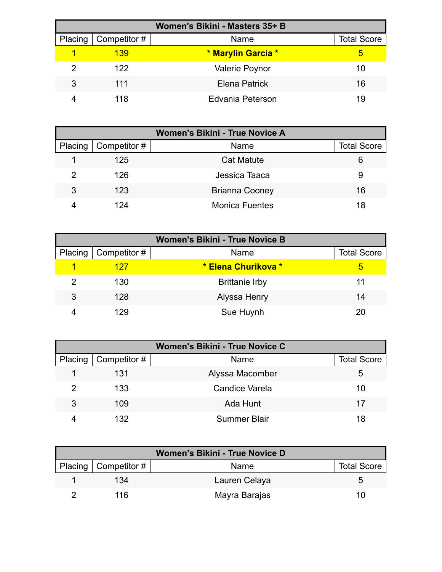| Women's Bikini - Masters 35+ B |              |                       |                    |  |
|--------------------------------|--------------|-----------------------|--------------------|--|
| Placing                        | Competitor # | Name                  | <b>Total Score</b> |  |
|                                | 139          | * Marylin Garcia *    | 5                  |  |
|                                | 122.         | <b>Valerie Poynor</b> | 10                 |  |
| 3                              | 111          | Elena Patrick         | 16                 |  |
|                                | 118          | Edvania Peterson      | 19                 |  |

| Women's Bikini - True Novice A |              |                       |                    |  |
|--------------------------------|--------------|-----------------------|--------------------|--|
| Placing '                      | Competitor # | Name                  | <b>Total Score</b> |  |
|                                | 125          | <b>Cat Matute</b>     | 6                  |  |
| $\mathcal{P}$                  | 126          | Jessica Taaca         | 9                  |  |
| 3                              | 123          | <b>Brianna Cooney</b> | 16                 |  |
|                                | 124          | <b>Monica Fuentes</b> | 18                 |  |

| <b>Women's Bikini - True Novice B</b> |                     |                       |                    |  |
|---------------------------------------|---------------------|-----------------------|--------------------|--|
| Placing                               | $\mid$ Competitor # | Name                  | <b>Total Score</b> |  |
|                                       | 127                 | * Elena Churikova *   | 5                  |  |
|                                       | 130                 | <b>Brittanie Irby</b> |                    |  |
| 3                                     | 128                 | Alyssa Henry          | 14                 |  |
|                                       | 129                 | Sue Huynh             | 20                 |  |

| Women's Bikini - True Novice C |                        |                     |                    |  |
|--------------------------------|------------------------|---------------------|--------------------|--|
|                                | Placing   Competitor # | Name                | <b>Total Score</b> |  |
|                                | 131                    | Alyssa Macomber     | 5                  |  |
|                                | 133                    | Candice Varela      | 10                 |  |
| 3                              | 109                    | Ada Hunt            | 17                 |  |
|                                | 132.                   | <b>Summer Blair</b> | 18                 |  |

| <b>Women's Bikini - True Novice D</b> |                        |               |                    |  |
|---------------------------------------|------------------------|---------------|--------------------|--|
|                                       | Placing   Competitor # | Name          | <b>Total Score</b> |  |
|                                       | 134                    | Lauren Celaya |                    |  |
|                                       | 116                    | Mayra Barajas | 10.                |  |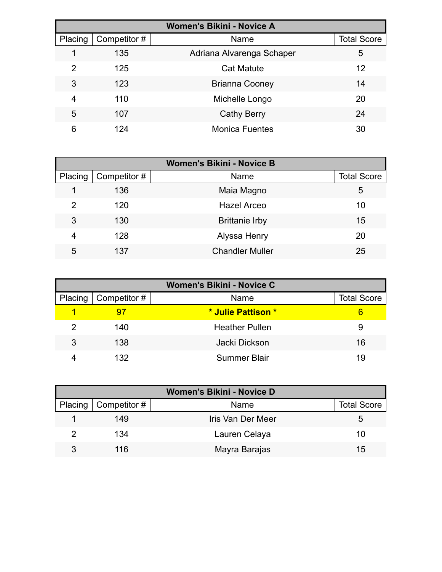| <b>Women's Bikini - Novice A</b> |              |                           |                    |  |
|----------------------------------|--------------|---------------------------|--------------------|--|
| Placing                          | Competitor # | Name                      | <b>Total Score</b> |  |
|                                  | 135          | Adriana Alvarenga Schaper | 5                  |  |
| 2                                | 125          | <b>Cat Matute</b>         | 12                 |  |
| 3                                | 123          | <b>Brianna Cooney</b>     | 14                 |  |
| 4                                | 110          | Michelle Longo            | 20                 |  |
| 5                                | 107          | <b>Cathy Berry</b>        | 24                 |  |
| 6                                | 124          | <b>Monica Fuentes</b>     | 30                 |  |

| <b>Women's Bikini - Novice B</b> |              |                        |                    |  |
|----------------------------------|--------------|------------------------|--------------------|--|
| Placing                          | Competitor # | Name                   | <b>Total Score</b> |  |
|                                  | 136          | Maia Magno             | 5                  |  |
| 2                                | 120          | <b>Hazel Arceo</b>     | 10                 |  |
| 3                                | 130          | <b>Brittanie Irby</b>  | 15                 |  |
| 4                                | 128          | Alyssa Henry           | 20                 |  |
| 5                                | 137          | <b>Chandler Muller</b> | 25                 |  |

| <b>Women's Bikini - Novice C</b> |                        |                       |                    |
|----------------------------------|------------------------|-----------------------|--------------------|
|                                  | Placing   Competitor # | Name                  | <b>Total Score</b> |
|                                  |                        | * Julie Pattison *    | 6                  |
|                                  | 140                    | <b>Heather Pullen</b> | 9                  |
| 3                                | 138                    | Jacki Dickson         | 16                 |
|                                  | 132                    | <b>Summer Blair</b>   | 19                 |

| <b>Women's Bikini - Novice D</b> |                              |                   |                    |  |
|----------------------------------|------------------------------|-------------------|--------------------|--|
|                                  | Placing $\vert$ Competitor # | <b>Name</b>       | <b>Total Score</b> |  |
|                                  | 149                          | Iris Van Der Meer | 5                  |  |
|                                  | 134                          | Lauren Celaya     | 10                 |  |
| 3                                | 116                          | Mayra Barajas     | 15                 |  |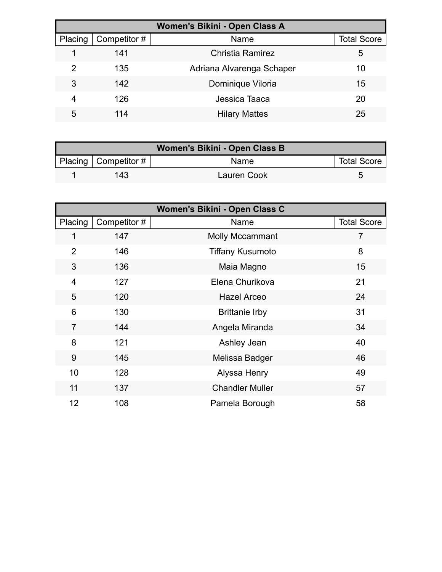| Women's Bikini - Open Class A |              |                           |                    |  |
|-------------------------------|--------------|---------------------------|--------------------|--|
| Placing                       | Competitor # | Name                      | <b>Total Score</b> |  |
|                               | 141          | Christia Ramirez          | 5                  |  |
| 2                             | 135          | Adriana Alvarenga Schaper | 10                 |  |
| 3                             | 142          | Dominique Viloria         | 15                 |  |
| 4                             | 126          | Jessica Taaca             | 20                 |  |
| 5                             | 114          | <b>Hilary Mattes</b>      | 25                 |  |

| Women's Bikini - Open Class B |                        |                    |                    |  |
|-------------------------------|------------------------|--------------------|--------------------|--|
|                               | Placing   Competitor # | Name               | <b>Total Score</b> |  |
|                               | 143                    | <b>Lauren Cook</b> |                    |  |

| Women's Bikini - Open Class C |              |                         |                    |  |
|-------------------------------|--------------|-------------------------|--------------------|--|
| Placing                       | Competitor # | Name                    | <b>Total Score</b> |  |
| 1                             | 147          | <b>Molly Mccammant</b>  | 7                  |  |
| $\overline{2}$                | 146          | <b>Tiffany Kusumoto</b> | 8                  |  |
| 3                             | 136          | Maia Magno              | 15                 |  |
| $\overline{4}$                | 127          | Elena Churikova         | 21                 |  |
| 5                             | 120          | <b>Hazel Arceo</b>      | 24                 |  |
| 6                             | 130          | <b>Brittanie Irby</b>   | 31                 |  |
| $\overline{7}$                | 144          | Angela Miranda          | 34                 |  |
| 8                             | 121          | Ashley Jean             | 40                 |  |
| 9                             | 145          | Melissa Badger          | 46                 |  |
| 10                            | 128          | Alyssa Henry            | 49                 |  |
| 11                            | 137          | <b>Chandler Muller</b>  | 57                 |  |
| 12                            | 108          | Pamela Borough          | 58                 |  |